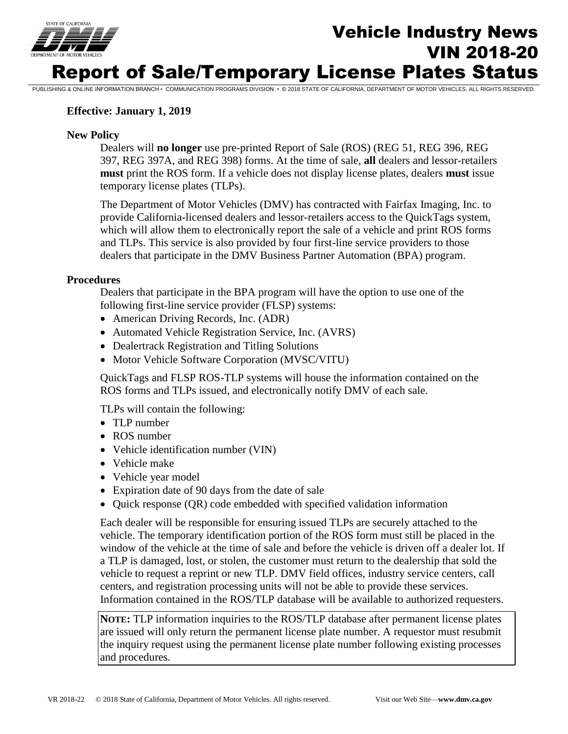

# Vehicle Industry News VIN 2018-20 Report of Sale/Temporary License Plates Status

PUBLISHING & ONLINE INFORMATION BRANCH • COMMUNICATION PROGRAMS DIVISION • © 2018 STATE OF CALIFORNIA, DEPARTMENT OF MOTOR VEHICLES. ALL RIGHTS RESERVED.

### **Effective: January 1, 2019**

### **New Policy**

 Dealers will **no longer** use pre-printed Report of Sale (ROS) (REG 51, REG 396, REG 397, REG 397A, and REG 398) forms. At the time of sale, **all** dealers and lessor-retailers **must** print the ROS form. If a vehicle does not display license plates, dealers **must** issue temporary license plates (TLPs).

The Department of Motor Vehicles (DMV) has contracted with Fairfax Imaging, Inc. to provide California-licensed dealers and lessor-retailers access to the QuickTags system, which will allow them to electronically report the sale of a vehicle and print ROS forms and TLPs. This service is also provided by four first-line service providers to those dealers that participate in the DMV Business Partner Automation (BPA) program.

#### **Procedures**

Dealers that participate in the BPA program will have the option to use one of the following first-line service provider (FLSP) systems:

- American Driving Records, Inc. (ADR)
- Automated Vehicle Registration Service, Inc. (AVRS)
- Dealertrack Registration and Titling Solutions
- Motor Vehicle Software Corporation (MVSC/VITU)

QuickTags and FLSP ROS-TLP systems will house the information contained on the ROS forms and TLPs issued, and electronically notify DMV of each sale.

TLPs will contain the following:

- TLP number
- ROS number
- Vehicle identification number (VIN)
- Vehicle make
- Vehicle year model
- Expiration date of 90 days from the date of sale
- Quick response (QR) code embedded with specified validation information

 vehicle to request a reprint or new TLP. DMV field offices, industry service centers, call Each dealer will be responsible for ensuring issued TLPs are securely attached to the vehicle. The temporary identification portion of the ROS form must still be placed in the window of the vehicle at the time of sale and before the vehicle is driven off a dealer lot. If a TLP is damaged, lost, or stolen, the customer must return to the dealership that sold the centers, and registration processing units will not be able to provide these services. Information contained in the ROS/TLP database will be available to authorized requesters.

**NOTE:** TLP information inquiries to the ROS/TLP database after permanent license plates are issued will only return the permanent license plate number. A requestor must resubmit the inquiry request using the permanent license plate number following existing processes and procedures.